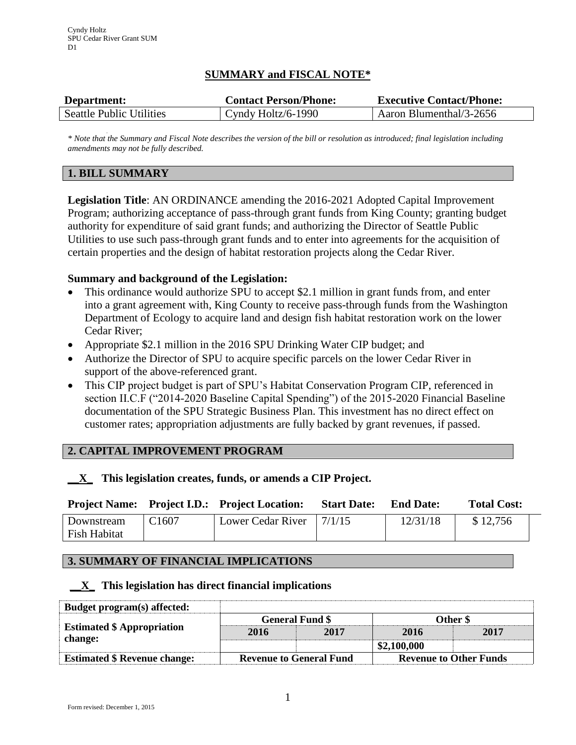# **SUMMARY and FISCAL NOTE\***

| Department:                     | <b>Contact Person/Phone:</b> | <b>Executive Contact/Phone:</b> |
|---------------------------------|------------------------------|---------------------------------|
| <b>Seattle Public Utilities</b> | Cyndy Holtz/6-1990           | Aaron Blumenthal/3-2656         |

*\* Note that the Summary and Fiscal Note describes the version of the bill or resolution as introduced; final legislation including amendments may not be fully described.*

### **1. BILL SUMMARY**

**Legislation Title**: AN ORDINANCE amending the 2016-2021 Adopted Capital Improvement Program; authorizing acceptance of pass-through grant funds from King County; granting budget authority for expenditure of said grant funds; and authorizing the Director of Seattle Public Utilities to use such pass-through grant funds and to enter into agreements for the acquisition of certain properties and the design of habitat restoration projects along the Cedar River.

### **Summary and background of the Legislation:**

- This ordinance would authorize SPU to accept \$2.1 million in grant funds from, and enter into a grant agreement with, King County to receive pass-through funds from the Washington Department of Ecology to acquire land and design fish habitat restoration work on the lower Cedar River;
- Appropriate \$2.1 million in the 2016 SPU Drinking Water CIP budget; and
- Authorize the Director of SPU to acquire specific parcels on the lower Cedar River in support of the above-referenced grant.
- This CIP project budget is part of SPU's Habitat Conservation Program CIP, referenced in section II.C.F ("2014-2020 Baseline Capital Spending") of the 2015-2020 Financial Baseline documentation of the SPU Strategic Business Plan. This investment has no direct effect on customer rates; appropriation adjustments are fully backed by grant revenues, if passed.

# **2. CAPITAL IMPROVEMENT PROGRAM**

# **\_\_X\_ This legislation creates, funds, or amends a CIP Project.**

|              |                   | <b>Project Name:</b> Project I.D.: Project Location: | <b>Start Date:</b> | <b>End Date:</b> | <b>Total Cost:</b> |
|--------------|-------------------|------------------------------------------------------|--------------------|------------------|--------------------|
| Downstream   | C <sub>1607</sub> | Lower Cedar River   $7/1/15$                         |                    | 12/31/18         | \$12,756           |
| Fish Habitat |                   |                                                      |                    |                  |                    |

### **3. SUMMARY OF FINANCIAL IMPLICATIONS**

### **\_\_X\_ This legislation has direct financial implications**

| Budget program(s) affected:         |                                |      |                               |      |
|-------------------------------------|--------------------------------|------|-------------------------------|------|
|                                     | <b>General Fund \$</b>         |      | Other \$                      |      |
| <b>Estimated \$ Appropriation</b>   | 2016                           | 2017 | 2016                          | 2017 |
| change:                             |                                |      | \$2,100,000                   |      |
| <b>Estimated \$ Revenue change:</b> | <b>Revenue to General Fund</b> |      | <b>Revenue to Other Funds</b> |      |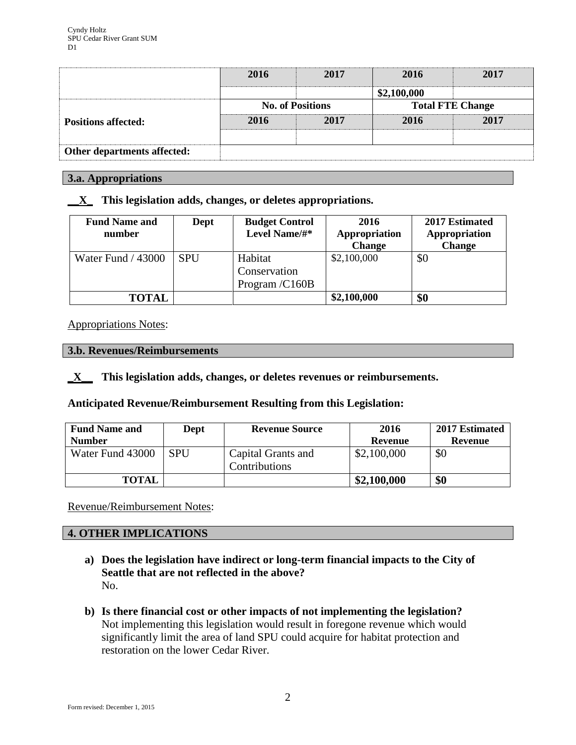|                             | 2016                    | 2017 | 2016                    | 2017 |
|-----------------------------|-------------------------|------|-------------------------|------|
|                             |                         |      | \$2,100,000             |      |
|                             | <b>No. of Positions</b> |      | <b>Total FTE Change</b> |      |
| <b>Positions affected:</b>  | 2016                    | 2017 | 2016                    | 2017 |
|                             |                         |      |                         |      |
| Other departments affected: |                         |      |                         |      |

#### **3.a. Appropriations**

**\_\_X\_ This legislation adds, changes, or deletes appropriations.**

| <b>Fund Name and</b><br>number | Dept       | <b>Budget Control</b><br>Level Name/#*    | 2016<br>Appropriation<br><b>Change</b> | 2017 Estimated<br>Appropriation<br><b>Change</b> |
|--------------------------------|------------|-------------------------------------------|----------------------------------------|--------------------------------------------------|
| Water Fund / 43000             | <b>SPU</b> | Habitat<br>Conservation<br>Program /C160B | \$2,100,000                            | \$0                                              |
| <b>TOTAL</b>                   |            |                                           | \$2,100,000                            | \$0                                              |

### Appropriations Notes:

#### **3.b. Revenues/Reimbursements**

**\_X\_\_ This legislation adds, changes, or deletes revenues or reimbursements.**

**Anticipated Revenue/Reimbursement Resulting from this Legislation:**

| <b>Fund Name and</b> | Dept       | <b>Revenue Source</b>                      | 2016        | 2017 Estimated |
|----------------------|------------|--------------------------------------------|-------------|----------------|
| <b>Number</b>        |            |                                            | Revenue     | Revenue        |
| Water Fund 43000     | <b>SPU</b> | Capital Grants and<br><b>Contributions</b> | \$2,100,000 | \$0            |
| <b>TOTAL</b>         |            |                                            | \$2,100,000 | \$0            |

Revenue/Reimbursement Notes:

# **4. OTHER IMPLICATIONS**

- **a) Does the legislation have indirect or long-term financial impacts to the City of Seattle that are not reflected in the above?** No.
- **b) Is there financial cost or other impacts of not implementing the legislation?** Not implementing this legislation would result in foregone revenue which would significantly limit the area of land SPU could acquire for habitat protection and restoration on the lower Cedar River.